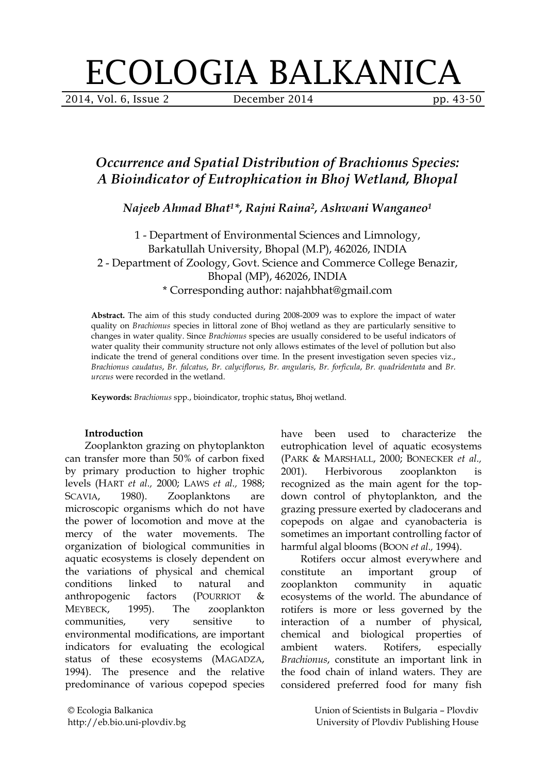# ECOLOGIA BALKANICA

2014, Vol. 6, Issue 2 **December 2014** pp. 43-50

# *Occurrence and Spatial Distribution of Brachionus Species: A Bioindicator of Eutrophication in Bhoj Wetland, Bhopal*

*Najeeb Ahmad Bhat1\*, Rajni Raina2, Ashwani Wanganeo1*

1 - Department of Environmental Sciences and Limnology, Barkatullah University, Bhopal (M.P), 462026, INDIA 2 - Department of Zoology, Govt. Science and Commerce College Benazir, Bhopal (MP), 462026, INDIA \* Corresponding author: najahbhat@gmail.com

**Abstract.** The aim of this study conducted during 2008-2009 was to explore the impact of water quality on *Brachionus* species in littoral zone of Bhoj wetland as they are particularly sensitive to changes in water quality. Since *Brachionus* species are usually considered to be useful indicators of water quality their community structure not only allows estimates of the level of pollution but also indicate the trend of general conditions over time. In the present investigation seven species viz., *Brachionus caudatus*, *Br. falcatus*, *Br. calyciflorus*, *Br. angularis*, *Br. forficula*, *Br. quadridentata* and *Br. urceus* were recorded in the wetland.

**Keywords:** *Brachionus* spp*.*, bioindicator, trophic status**,** Bhoj wetland.

## **Introduction**

Zooplankton grazing on phytoplankton can transfer more than 50% of carbon fixed by primary production to higher trophic levels (HART *et al.,* 2000; LAWS *et al.,* 1988; SCAVIA, 1980). Zooplanktons are microscopic organisms which do not have the power of locomotion and move at the mercy of the water movements. The organization of biological communities in aquatic ecosystems is closely dependent on the variations of physical and chemical conditions linked to natural and anthropogenic factors (POURRIOT & MEYBECK, 1995). The zooplankton communities, very sensitive to environmental modifications, are important indicators for evaluating the ecological status of these ecosystems (MAGADZA, 1994). The presence and the relative predominance of various copepod species

have been used to characterize the eutrophication level of aquatic ecosystems (PARK & MARSHALL, 2000; BONECKER *et al.,* 2001). Herbivorous zooplankton is recognized as the main agent for the topdown control of phytoplankton, and the grazing pressure exerted by cladocerans and copepods on algae and cyanobacteria is sometimes an important controlling factor of harmful algal blooms (BOON *et al.,* 1994).

Rotifers occur almost everywhere and constitute an important group of zooplankton community in aquatic ecosystems of the world. The abundance of rotifers is more or less governed by the interaction of a number of physical, chemical and biological properties of ambient waters. Rotifers, especially *Brachionus*, constitute an important link in the food chain of inland waters. They are considered preferred food for many fish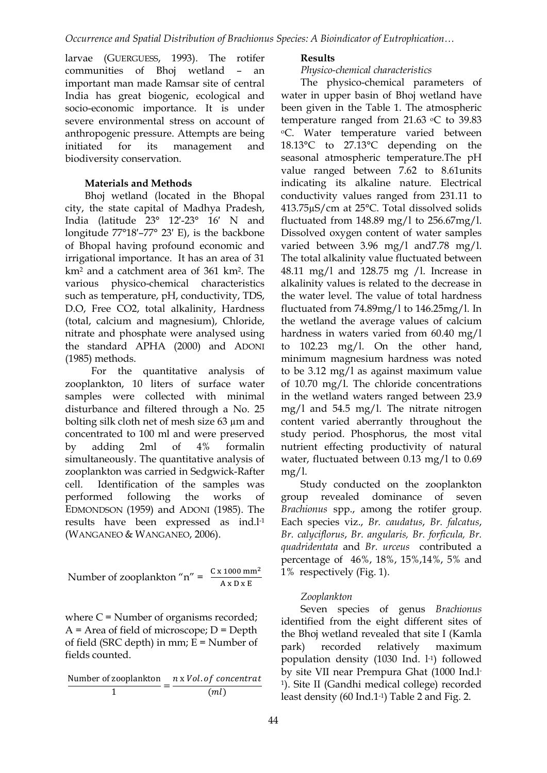larvae (GUERGUESS, 1993). The rotifer communities of Bhoj wetland – an important man made Ramsar site of central India has great biogenic, ecological and socio-economic importance. It is under severe environmental stress on account of anthropogenic pressure. Attempts are being initiated for its management and biodiversity conservation.

#### **Materials and Methods**

Bhoj wetland (located in the Bhopal city, the state capital of Madhya Pradesh, India (latitude 23° 12′-23° 16′ N and longitude 77°18′–77° 23′ E), is the backbone of Bhopal having profound economic and irrigational importance. It has an area of 31 km2 and a catchment area of 361 km2. The various physico-chemical characteristics such as temperature, pH, conductivity, TDS, D.O, Free CO2, total alkalinity, Hardness (total, calcium and magnesium), Chloride, nitrate and phosphate were analysed using the standard APHA (2000) and ADONI (1985) methods.

For the quantitative analysis of zooplankton, 10 liters of surface water samples were collected with minimal disturbance and filtered through a No. 25 bolting silk cloth net of mesh size 63 µm and concentrated to 100 ml and were preserved by adding 2ml of 4% formalin simultaneously. The quantitative analysis of zooplankton was carried in Sedgwick-Rafter cell. Identification of the samples was performed following the works of EDMONDSON (1959) and ADONI (1985). The results have been expressed as ind.l-1 (WANGANEO & WANGANEO, 2006).

Number of zooplankton "n" = 
$$
\frac{C x 1000 \text{ mm}^2}{A x D x E}
$$

where  $C =$  Number of organisms recorded;  $A = Area$  of field of microscope;  $D = De$ pth of field (SRC depth) in mm;  $E =$  Number of fields counted.

$$
\frac{\text{Number of zooplankton}}{1} = \frac{n \times Vol. \text{ of concentrat}}{(ml)}
$$

#### **Results**

#### *Physico-chemical characteristics*

The physico-chemical parameters of water in upper basin of Bhoj wetland have been given in the Table 1. The atmospheric temperature ranged from 21.63  $\degree$ C to 39.83 oC. Water temperature varied between 18.13°C to 27.13°C depending on the seasonal atmospheric temperature.The pH value ranged between 7.62 to 8.61units indicating its alkaline nature. Electrical conductivity values ranged from 231.11 to 413.75µS/cm at 25°C. Total dissolved solids fluctuated from  $148.89 \text{ mg/l}$  to  $256.67 \text{mg/l}$ . Dissolved oxygen content of water samples varied between 3.96 mg/l and7.78 mg/l. The total alkalinity value fluctuated between 48.11 mg/l and 128.75 mg /l. Increase in alkalinity values is related to the decrease in the water level. The value of total hardness fluctuated from 74.89mg/l to 146.25mg/l. In the wetland the average values of calcium hardness in waters varied from 60.40 mg/l to 102.23 mg/l. On the other hand, minimum magnesium hardness was noted to be 3.12 mg/l as against maximum value of 10.70 mg/l. The chloride concentrations in the wetland waters ranged between 23.9 mg/l and 54.5 mg/l. The nitrate nitrogen content varied aberrantly throughout the study period. Phosphorus, the most vital nutrient effecting productivity of natural water, fluctuated between 0.13 mg/l to 0.69  $mg/l$ .

Study conducted on the zooplankton group revealed dominance of seven *Brachionus* spp., among the rotifer group. Each species viz., *Br. caudatus*, *Br. falcatus*, *Br. calyciflorus*, *Br. angularis, Br. forficula, Br. quadridentata* and *Br. urceus* contributed a percentage of 46%, 18%, 15%,14%, 5% and 1% respectively (Fig. 1).

#### *Zooplankton*

Seven species of genus *Brachionus*  identified from the eight different sites of the Bhoj wetland revealed that site I (Kamla park) recorded relatively maximum population density (1030 Ind. l-1) followed by site VII near Prempura Ghat (1000 Ind.l-1). Site II (Gandhi medical college) recorded least density (60 Ind.1-1) Table 2 and Fig. 2.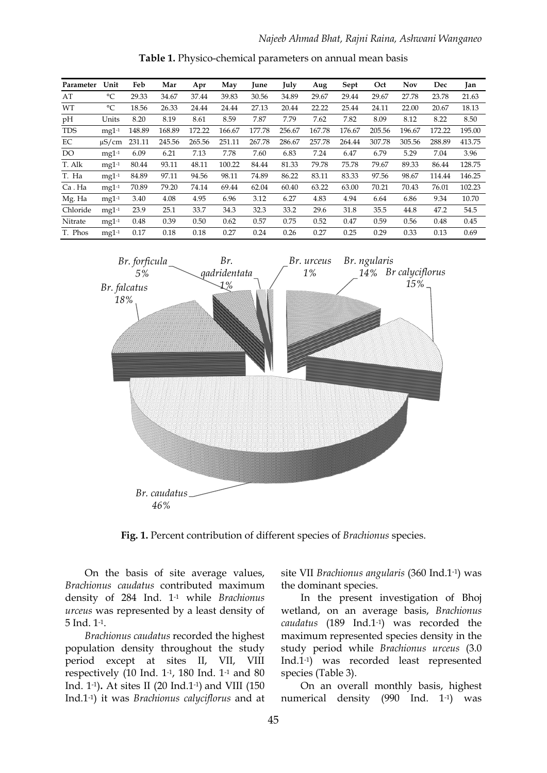| Parameter  | Unit        | Feb    | Mar    | Apr    | May    | June   | July   | Aug    | Sept   | Oct    | <b>Nov</b> | Dec    | Jan    |
|------------|-------------|--------|--------|--------|--------|--------|--------|--------|--------|--------|------------|--------|--------|
| AT         | °C          | 29.33  | 34.67  | 37.44  | 39.83  | 30.56  | 34.89  | 29.67  | 29.44  | 29.67  | 27.78      | 23.78  | 21.63  |
| WT         | $^{\circ}C$ | 18.56  | 26.33  | 24.44  | 24.44  | 27.13  | 20.44  | 22.22  | 25.44  | 24.11  | 22.00      | 20.67  | 18.13  |
| pН         | Units       | 8.20   | 8.19   | 8.61   | 8.59   | 7.87   | 7.79   | 7.62   | 7.82   | 8.09   | 8.12       | 8.22   | 8.50   |
| <b>TDS</b> | $mg1-1$     | 148.89 | 168.89 | 172.22 | 166.67 | 177.78 | 256.67 | 167.78 | 176.67 | 205.56 | 196.67     | 172.22 | 195.00 |
| EC         | $\mu$ S/cm  | 231.11 | 245.56 | 265.56 | 251.11 | 267.78 | 286.67 | 257.78 | 264.44 | 307.78 | 305.56     | 288.89 | 413.75 |
| DO         | $mg1-1$     | 6.09   | 6.21   | 7.13   | 7.78   | 7.60   | 6.83   | 7.24   | 6.47   | 6.79   | 5.29       | 7.04   | 3.96   |
| T. Alk     | $mg1-1$     | 80.44  | 93.11  | 48.11  | 100.22 | 84.44  | 81.33  | 79.78  | 75.78  | 79.67  | 89.33      | 86.44  | 128.75 |
| T. Ha      | $mg1-1$     | 84.89  | 97.11  | 94.56  | 98.11  | 74.89  | 86.22  | 83.11  | 83.33  | 97.56  | 98.67      | 114.44 | 146.25 |
| Ca.Ha      | $mg1-1$     | 70.89  | 79.20  | 74.14  | 69.44  | 62.04  | 60.40  | 63.22  | 63.00  | 70.21  | 70.43      | 76.01  | 102.23 |
| Mg. Ha     | $mg1-1$     | 3.40   | 4.08   | 4.95   | 6.96   | 3.12   | 6.27   | 4.83   | 4.94   | 6.64   | 6.86       | 9.34   | 10.70  |
| Chloride   | $mg1-1$     | 23.9   | 25.1   | 33.7   | 34.3   | 32.3   | 33.2   | 29.6   | 31.8   | 35.5   | 44.8       | 47.2   | 54.5   |
| Nitrate    | $mg1-1$     | 0.48   | 0.39   | 0.50   | 0.62   | 0.57   | 0.75   | 0.52   | 0.47   | 0.59   | 0.56       | 0.48   | 0.45   |
| T. Phos    | $mg1-1$     | 0.17   | 0.18   | 0.18   | 0.27   | 0.24   | 0.26   | 0.27   | 0.25   | 0.29   | 0.33       | 0.13   | 0.69   |

**Table 1.** Physico-chemical parameters on annual mean basis



**Fig. 1.** Percent contribution of different species of *Brachionus* species.

On the basis of site average values, *Brachionus caudatus* contributed maximum density of 284 Ind. 1-1 while *Brachionus urceus* was represented by a least density of 5 Ind. 1-1.

*Brachionus caudatus* recorded the highest population density throughout the study period except at sites II, VII, VIII respectively (10 Ind. 1-1, 180 Ind. 1-1 and 80 Ind. 1-1)**.** At sites II (20 Ind.1-1) and VIII (150 Ind.1-1) it was *Brachionus calyciflorus* and at site VII *Brachionus angularis* (360 Ind.1-1) was the dominant species.

In the present investigation of Bhoj wetland, on an average basis, *Brachionus caudatus* (189 Ind.1-1) was recorded the maximum represented species density in the study period while *Brachionus urceus* (3.0 Ind.1-1) was recorded least represented species (Table 3).

On an overall monthly basis, highest numerical density (990 Ind. 1-1) was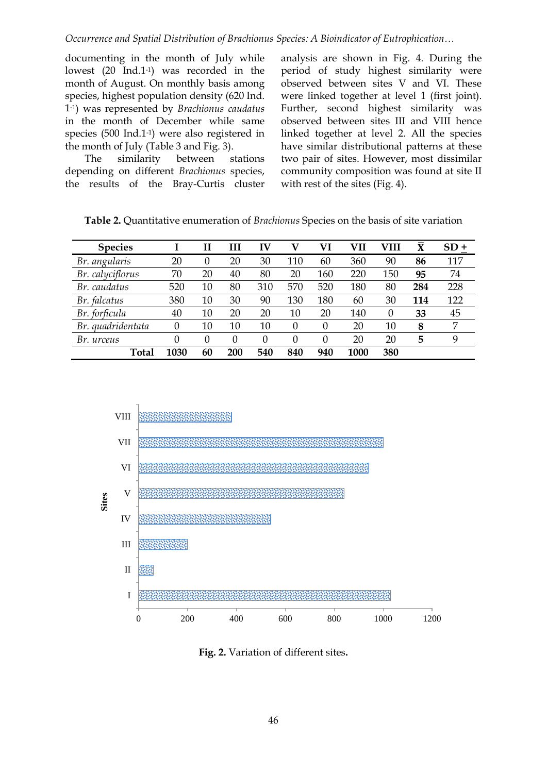#### *Occurrence and Spatial Distribution of Brachionus Species: A Bioindicator of Eutrophication…*

documenting in the month of July while lowest (20 Ind.1-1) was recorded in the month of August. On monthly basis among species, highest population density (620 Ind. 1-1) was represented by *Brachionus caudatus* in the month of December while same species (500 Ind.1-1) were also registered in the month of July (Table 3 and Fig. 3).

The similarity between stations depending on different *Brachionus* species, the results of the Bray-Curtis cluster analysis are shown in Fig. 4. During the period of study highest similarity were observed between sites V and VI. These were linked together at level 1 (first joint). Further, second highest similarity was observed between sites III and VIII hence linked together at level 2. All the species have similar distributional patterns at these two pair of sites. However, most dissimilar community composition was found at site II with rest of the sites (Fig. 4).

| <b>Species</b>    |                  | Н        | Ш        | $\mathbf{I} \mathbf{V}$ | v                | VI       |      | VIII     | $\bar{\mathbf{X}}$ | $SD +$ |
|-------------------|------------------|----------|----------|-------------------------|------------------|----------|------|----------|--------------------|--------|
| Br. angularis     | 20               | $\Omega$ | 20       | 30                      | 110              | 60       | 360  | 90       | 86                 | 117    |
| Br. calyciflorus  | 70               | 20       | 40       | 80                      | 20               | 160      | 220  | 150      | 95                 | 74     |
| Br. caudatus      | 520              | 10       | 80       | 310                     | 570              | 520      | 180  | 80       | 284                | 228    |
| Br. falcatus      | 380              | 10       | 30       | 90                      | 130              | 180      | 60   | 30       | 114                | 122    |
| Br. forficula     | 40               | 10       | 20       | 20                      | 10               | 20       | 140  | $\theta$ | 33                 | 45     |
| Br. quadridentata | $\left( \right)$ | 10       | 10       | 10                      | $\left( \right)$ | $\Omega$ | 20   | 10       | 8                  | 7      |
| Br. urceus        |                  | $\Omega$ | $\Omega$ | $\theta$                | 0                | 0        | 20   | 20       | 5                  | 9      |
| <b>Total</b>      | 1030             | 60       | 200      | 540                     | 840              | 940      | 1000 | 380      |                    |        |

**Table 2.** Quantitative enumeration of *Brachionus* Species on the basis of site variation



**Fig. 2.** Variation of different sites**.**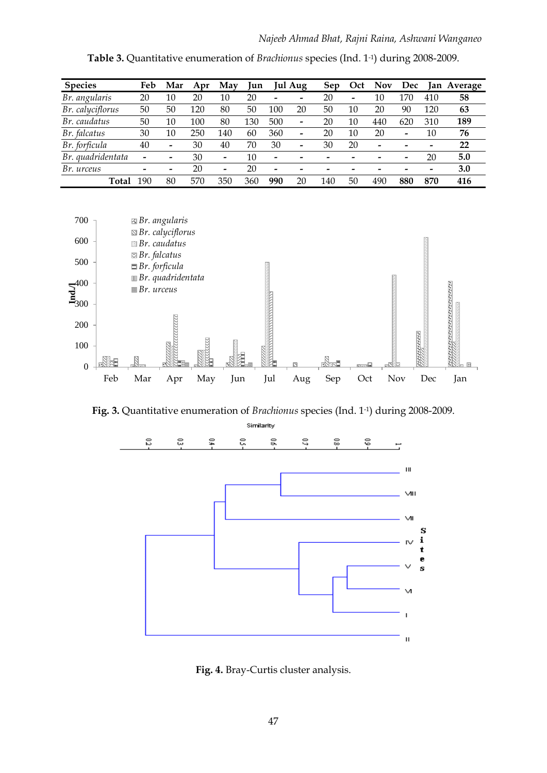| <b>Species</b>    | Feb                   | Mar                   | Apr | May | Iun |                 | Jul Aug         | <b>Sep</b> | Oct             | Nov | Dec                   |     | Jan Average |
|-------------------|-----------------------|-----------------------|-----|-----|-----|-----------------|-----------------|------------|-----------------|-----|-----------------------|-----|-------------|
| Br. angularis     | 20                    | 10                    | 20  | 10  | 20  |                 | -               | 20         | $\qquad \qquad$ | 10  | 170                   | 410 | 58          |
| Br. calyciflorus  | 50                    | 50                    | 120 | 80  | 50  | 100             | 20              | 50         | 10              | 20  | 90                    | 120 | 63          |
| Br. caudatus      | 50                    | 10                    | 100 | 80  | 130 | 500             | $\qquad \qquad$ | 20         | 10              | 440 | 620                   | 310 | 189         |
| Br. falcatus      | 30                    | 10                    | 250 | 140 | 60  | 360             | -               | 20         | 10              | 20  | $\tilde{\phantom{a}}$ | 10  | 76          |
| Br. forficula     | 40                    | $\tilde{\phantom{a}}$ | 30  | 40  | 70  | 30              | -               | 30         | 20              | -   |                       |     | 22          |
| Br. quadridentata | $\tilde{\phantom{a}}$ | -                     | 30  | -   | 10  | $\qquad \qquad$ |                 |            | -               |     |                       | 20  | 5.0         |
| Br. urceus        | $\tilde{\phantom{a}}$ | -                     | 20  | -   | 20  | -               |                 |            |                 |     |                       |     | 3.0         |
| Total             | 190                   | 80                    | 570 | 350 | 360 | 990             | 20              | 140        | 50              | 490 | 880                   | 870 | 416         |

**Table 3.** Quantitative enumeration of *Brachionus* species (Ind. 1-1) during 2008-2009.



**Fig. 3.** Quantitative enumeration of *Brachionus* species (Ind. 1-1) during 2008-2009.



**Fig. 4.** Bray-Curtis cluster analysis.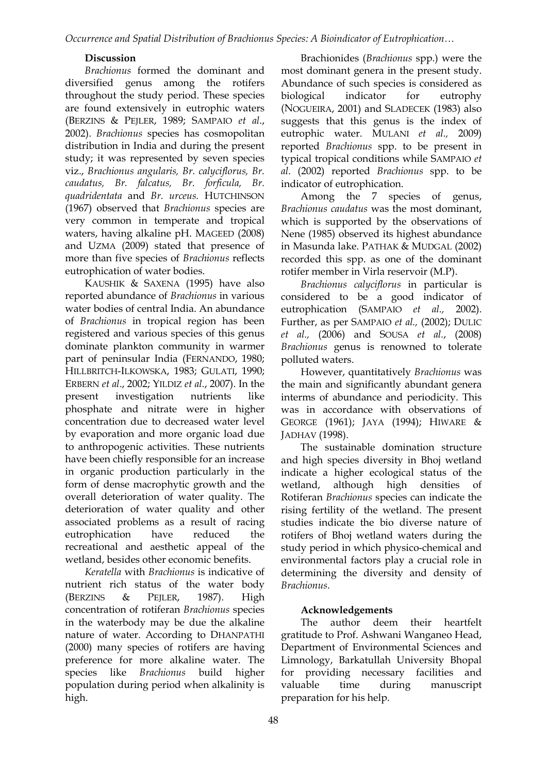*Occurrence and Spatial Distribution of Brachionus Species: A Bioindicator of Eutrophication…*

#### **Discussion**

*Brachionus* formed the dominant and diversified genus among the rotifers throughout the study period. These species are found extensively in eutrophic waters (BERZINS & PEJLER, 1989; SAMPAIO *et al*., 2002). *Brachionus* species has cosmopolitan distribution in India and during the present study; it was represented by seven species viz., *Brachionus angularis, Br. calyciflorus, Br. caudatus, Br. falcatus, Br. forficula, Br. quadridentata* and *Br. urceus.* HUTCHINSON (1967) observed that *Brachionus* species are very common in temperate and tropical waters, having alkaline pH. MAGEED (2008) and UZMA (2009) stated that presence of more than five species of *Brachionus* reflects eutrophication of water bodies.

KAUSHIK & SAXENA (1995) have also reported abundance of *Brachionus* in various water bodies of central India. An abundance of *Brachionus* in tropical region has been registered and various species of this genus dominate plankton community in warmer part of peninsular India (FERNANDO, 1980; HILLBRITCH-ILKOWSKA, 1983; GULATI, 1990; ERBERN *et al*., 2002; YILDIZ *et al.*, 2007). In the present investigation nutrients like phosphate and nitrate were in higher concentration due to decreased water level by evaporation and more organic load due to anthropogenic activities. These nutrients have been chiefly responsible for an increase in organic production particularly in the form of dense macrophytic growth and the overall deterioration of water quality. The deterioration of water quality and other associated problems as a result of racing eutrophication have reduced the recreational and aesthetic appeal of the wetland, besides other economic benefits.

*Keratella* with *Brachionus* is indicative of nutrient rich status of the water body (BERZINS & PEJLER, 1987). High concentration of rotiferan *Brachionus* species in the waterbody may be due the alkaline nature of water. According to DHANPATHI (2000) many species of rotifers are having preference for more alkaline water. The species like *Brachionus* build higher population during period when alkalinity is high.

Brachionides (*Brachionus* spp.) were the most dominant genera in the present study. Abundance of such species is considered as biological indicator for eutrophy (NOGUEIRA, 2001) and SLADECEK (1983) also suggests that this genus is the index of eutrophic water. MULANI *et al.,* 2009) reported *Brachionus* spp. to be present in typical tropical conditions while SAMPAIO *et al.* (2002) reported *Brachionus* spp. to be indicator of eutrophication.

Among the 7 species of genus, *Brachionus caudatus* was the most dominant, which is supported by the observations of Nene (1985) observed its highest abundance in Masunda lake. PATHAK & MUDGAL (2002) recorded this spp. as one of the dominant rotifer member in Virla reservoir (M.P).

*Brachionus calyciflorus* in particular is considered to be a good indicator of eutrophication (SAMPAIO *et al.,* 2002). Further, as per SAMPAIO *et al.,* (2002); DULIC *et al.,* (2006) and SOUSA *et al.*, (2008) *Brachionus* genus is renowned to tolerate polluted waters.

However, quantitatively *Brachionus* was the main and significantly abundant genera interms of abundance and periodicity. This was in accordance with observations of GEORGE (1961); JAYA (1994); HIWARE & JADHAV (1998).

The sustainable domination structure and high species diversity in Bhoj wetland indicate a higher ecological status of the wetland, although high densities of Rotiferan *Brachionus* species can indicate the rising fertility of the wetland. The present studies indicate the bio diverse nature of rotifers of Bhoj wetland waters during the study period in which physico-chemical and environmental factors play a crucial role in determining the diversity and density of *Brachionus*.

## **Acknowledgements**

The author deem their heartfelt gratitude to Prof. Ashwani Wanganeo Head, Department of Environmental Sciences and Limnology, Barkatullah University Bhopal for providing necessary facilities and valuable time during manuscript preparation for his help.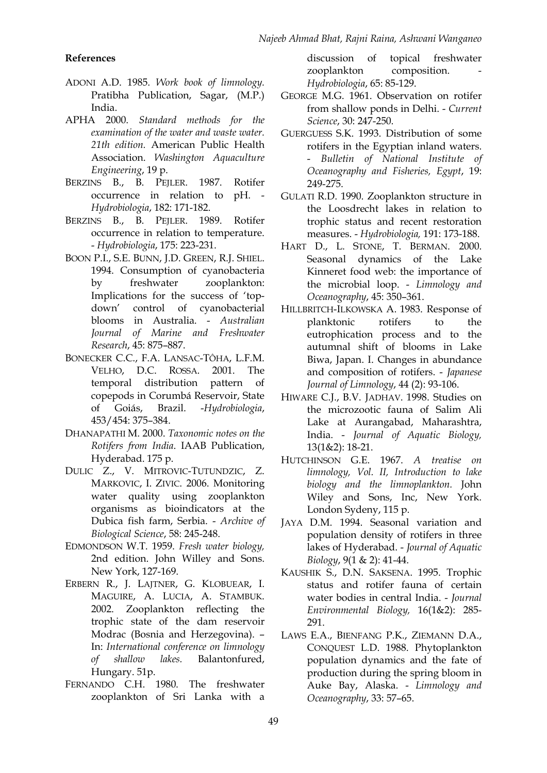#### **References**

- ADONI A.D. 1985. *Work book of limnology.* Pratibha Publication, Sagar, (M.P.) India.
- APHA 2000. *Standard methods for the examination of the water and waste water. 21th edition.* American Public Health Association. *Washington Aquaculture Engineering*, 19 p.
- BERZINS B., B. PEJLER. 1987. Rotifer occurrence in relation to pH. - *Hydrobiologia*, 182: 171-182.
- BERZINS B., B. PEJLER. 1989. Rotifer occurrence in relation to temperature. - *Hydrobiologia*, 175: 223-231.
- BOON P.I., S.E. BUNN, J.D. GREEN, R.J. SHIEL. 1994. Consumption of cyanobacteria by freshwater zooplankton: Implications for the success of 'topdown' control of cyanobacterial blooms in Australia. - *Australian Journal of Marine and Freshwater Research*, 45: 875–887.
- BONECKER C.C., F.A. LANSAC-TÔHA, L.F.M. VELHO, D.C. ROSSA. 2001. The temporal distribution pattern of copepods in Corumbá Reservoir, State of Goiás, Brazil. -*Hydrobiologia*, 453/454: 375–384.
- DHANAPATHI M. 2000. *Taxonomic notes on the Rotifers from India*. IAAB Publication, Hyderabad. 175 p.
- DULIC Z., V. MITROVIC-TUTUNDZIC, Z. MARKOVIC, I. ZIVIC. 2006. Monitoring water quality using zooplankton organisms as bioindicators at the Dubica fish farm, Serbia. - *Archive of Biological Science*, 58: 245-248.
- EDMONDSON W.T. 1959. *Fresh water biology,* 2nd edition. John Willey and Sons. New York, 127-169.
- ERBERN R., J. LAJTNER, G. KLOBUEAR, I. MAGUIRE, A. LUCIA, A. STAMBUK. 2002. Zooplankton reflecting the trophic state of the dam reservoir Modrac (Bosnia and Herzegovina). – In: *International conference on limnology of shallow lakes.* Balantonfured, Hungary. 51p.
- FERNANDO C.H. 1980. The freshwater zooplankton of Sri Lanka with a

discussion of topical freshwater zooplankton composition. *Hydrobiologia*, 65: 85-129.

- GEORGE M.G. 1961. Observation on rotifer from shallow ponds in Delhi. - *Current Science*, 30: 247-250.
- GUERGUESS S.K. 1993. Distribution of some rotifers in the Egyptian inland waters. - *Bulletin of National Institute of Oceanography and Fisheries, Egypt*, 19: 249-275.
- GULATI R.D. 1990. Zooplankton structure in the Loosdrecht lakes in relation to trophic status and recent restoration measures. - *Hydrobiologia,* 191: 173-188.
- HART D., L. STONE, T. BERMAN. 2000. Seasonal dynamics of the Lake Kinneret food web: the importance of the microbial loop. - *Limnology and Oceanography*, 45: 350–361.
- HILLBRITCH-ILKOWSKA A. 1983. Response of planktonic rotifers to the eutrophication process and to the autumnal shift of blooms in Lake Biwa, Japan. I. Changes in abundance and composition of rotifers. - *Japanese Journal of Limnology*, 44 (2): 93-106.
- HIWARE C.J., B.V. JADHAV. 1998. Studies on the microzootic fauna of Salim Ali Lake at Aurangabad, Maharashtra, India. - *Journal of Aquatic Biology,*  13(1&2): 18-21.
- HUTCHINSON G.E. 1967. *A treatise on limnology, Vol. II, Introduction to lake biology and the limnoplankton.* John Wiley and Sons, Inc, New York. London Sydeny, 115 p.
- JAYA D.M. 1994. Seasonal variation and population density of rotifers in three lakes of Hyderabad. - *Journal of Aquatic Biology*, 9(1 & 2): 41-44.
- KAUSHIK S., D.N. SAKSENA. 1995. Trophic status and rotifer fauna of certain water bodies in central India. - *Journal Environmental Biology,* 16(1&2): 285- 291.
- LAWS E.A., BIENFANG P.K., ZIEMANN D.A., CONQUEST L.D. 1988. Phytoplankton population dynamics and the fate of production during the spring bloom in Auke Bay, Alaska. - *Limnology and Oceanography*, 33: 57–65.